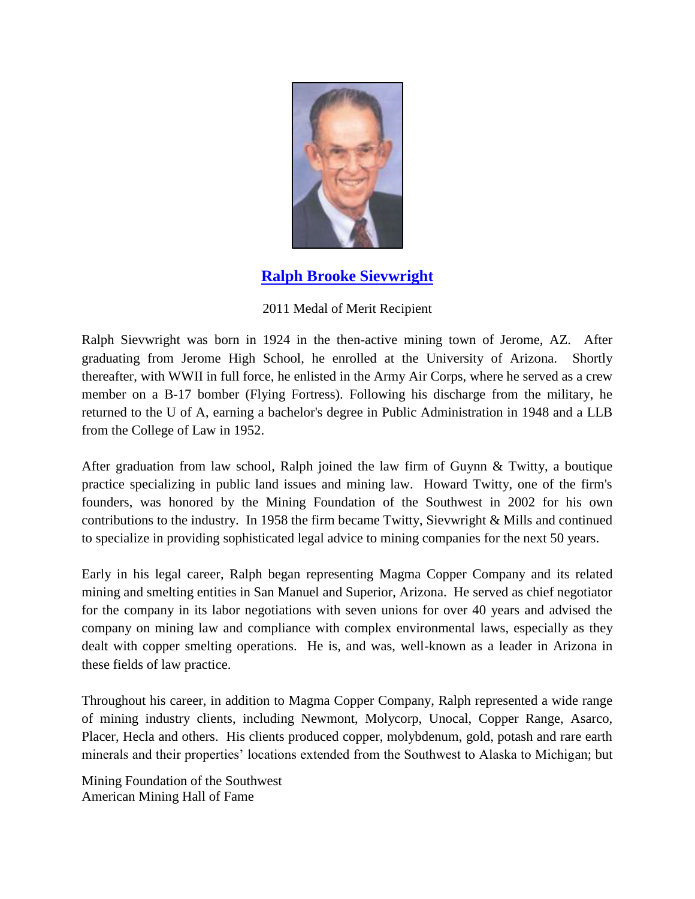

## **[Ralph Brooke Sievwright](http://www.youtube.com/watch?v=kswzxOBZhqU&feature=youtu.be)**

## 2011 Medal of Merit Recipient

Ralph Sievwright was born in 1924 in the then-active mining town of Jerome, AZ. After graduating from Jerome High School, he enrolled at the University of Arizona. Shortly thereafter, with WWII in full force, he enlisted in the Army Air Corps, where he served as a crew member on a B-17 bomber (Flying Fortress). Following his discharge from the military, he returned to the U of A, earning a bachelor's degree in Public Administration in 1948 and a LLB from the College of Law in 1952.

After graduation from law school, Ralph joined the law firm of Guynn & Twitty, a boutique practice specializing in public land issues and mining law. Howard Twitty, one of the firm's founders, was honored by the Mining Foundation of the Southwest in 2002 for his own contributions to the industry. In 1958 the firm became Twitty, Sievwright & Mills and continued to specialize in providing sophisticated legal advice to mining companies for the next 50 years.

Early in his legal career, Ralph began representing Magma Copper Company and its related mining and smelting entities in San Manuel and Superior, Arizona. He served as chief negotiator for the company in its labor negotiations with seven unions for over 40 years and advised the company on mining law and compliance with complex environmental laws, especially as they dealt with copper smelting operations. He is, and was, well-known as a leader in Arizona in these fields of law practice.

Throughout his career, in addition to Magma Copper Company, Ralph represented a wide range of mining industry clients, including Newmont, Molycorp, Unocal, Copper Range, Asarco, Placer, Hecla and others. His clients produced copper, molybdenum, gold, potash and rare earth minerals and their properties' locations extended from the Southwest to Alaska to Michigan; but

Mining Foundation of the Southwest American Mining Hall of Fame